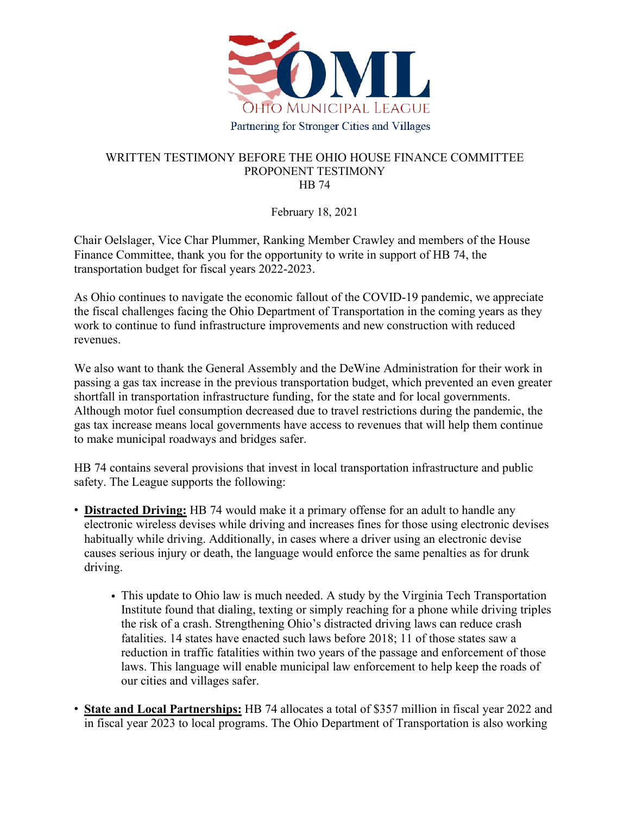

## WRITTEN TESTIMONY BEFORE THE OHIO HOUSE FINANCE COMMITTEE PROPONENT TESTIMONY HB 74

February 18, 2021

Chair Oelslager, Vice Char Plummer, Ranking Member Crawley and members of the House Finance Committee, thank you for the opportunity to write in support of HB 74, the transportation budget for fiscal years 2022-2023.

As Ohio continues to navigate the economic fallout of the COVID-19 pandemic, we appreciate the fiscal challenges facing the Ohio Department of Transportation in the coming years as they work to continue to fund infrastructure improvements and new construction with reduced revenues.

We also want to thank the General Assembly and the DeWine Administration for their work in passing a gas tax increase in the previous transportation budget, which prevented an even greater shortfall in transportation infrastructure funding, for the state and for local governments. Although motor fuel consumption decreased due to travel restrictions during the pandemic, the gas tax increase means local governments have access to revenues that will help them continue to make municipal roadways and bridges safer.

HB 74 contains several provisions that invest in local transportation infrastructure and public safety. The League supports the following:

- **Distracted Driving:** HB 74 would make it a primary offense for an adult to handle any electronic wireless devises while driving and increases fines for those using electronic devises habitually while driving. Additionally, in cases where a driver using an electronic devise causes serious injury or death, the language would enforce the same penalties as for drunk driving.
	- This update to Ohio law is much needed. A study by the Virginia Tech Transportation Institute found that dialing, texting or simply reaching for a phone while driving triples the risk of a crash. Strengthening Ohio's distracted driving laws can reduce crash fatalities. 14 states have enacted such laws before 2018; 11 of those states saw a reduction in traffic fatalities within two years of the passage and enforcement of those laws. This language will enable municipal law enforcement to help keep the roads of our cities and villages safer.
- **State and Local Partnerships:** HB 74 allocates a total of \$357 million in fiscal year 2022 and in fiscal year 2023 to local programs. The Ohio Department of Transportation is also working